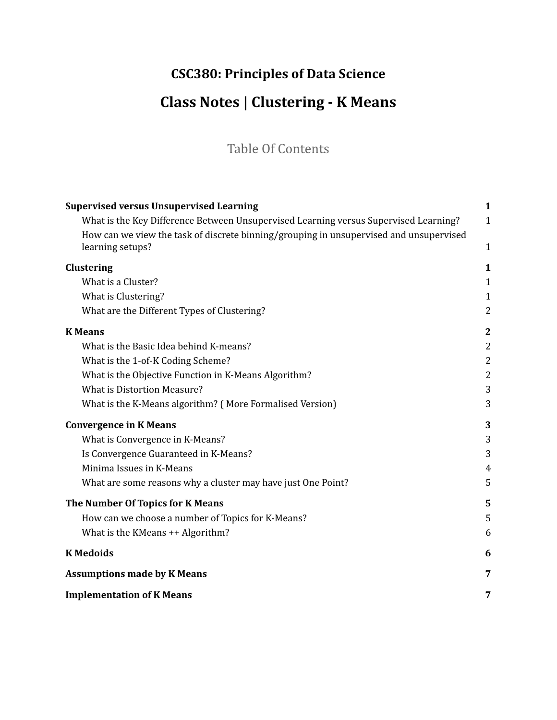# **CSC380: Principles of Data Science Class Notes | Clustering - K Means**

# Table Of Contents

| <b>Supervised versus Unsupervised Learning</b>                                         | $\mathbf{1}$   |
|----------------------------------------------------------------------------------------|----------------|
| What is the Key Difference Between Unsupervised Learning versus Supervised Learning?   | $\mathbf{1}$   |
| How can we view the task of discrete binning/grouping in unsupervised and unsupervised |                |
| learning setups?                                                                       | 1              |
| Clustering                                                                             | $\mathbf 1$    |
| What is a Cluster?                                                                     | $\mathbf{1}$   |
| What is Clustering?                                                                    | $\mathbf{1}$   |
| What are the Different Types of Clustering?                                            | $\overline{2}$ |
| <b>K</b> Means                                                                         | 2              |
| What is the Basic Idea behind K-means?                                                 | $\overline{2}$ |
| What is the 1-of-K Coding Scheme?                                                      | $\overline{2}$ |
| What is the Objective Function in K-Means Algorithm?                                   | $\overline{2}$ |
| <b>What is Distortion Measure?</b>                                                     | 3              |
| What is the K-Means algorithm? (More Formalised Version)                               | 3              |
| <b>Convergence in K Means</b>                                                          | 3              |
| What is Convergence in K-Means?                                                        | 3              |
| Is Convergence Guaranteed in K-Means?                                                  | 3              |
| Minima Issues in K-Means                                                               | $\overline{4}$ |
| What are some reasons why a cluster may have just One Point?                           | 5              |
| The Number Of Topics for K Means                                                       | 5              |
| How can we choose a number of Topics for K-Means?                                      | 5              |
| What is the KMeans ++ Algorithm?                                                       | 6              |
| <b>K</b> Medoids                                                                       | 6              |
| <b>Assumptions made by K Means</b>                                                     | 7              |
| <b>Implementation of K Means</b>                                                       | 7              |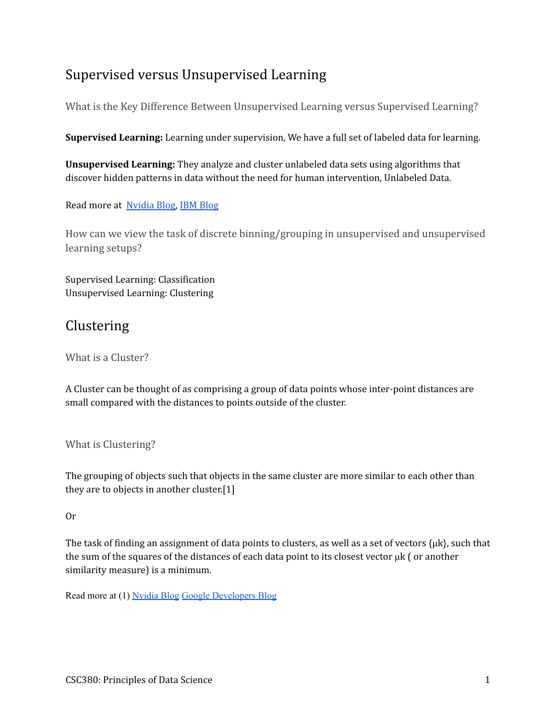# <span id="page-1-0"></span>Supervised versus Unsupervised Learning

<span id="page-1-1"></span>What is the Key Difference Between Unsupervised Learning versus Supervised Learning?

**Supervised Learning:** Learning under supervision, We have a full set of labeled data for learning.

**Unsupervised Learning:** They analyze and cluster unlabeled data sets using algorithms that discover hidden patterns in data without the need for human intervention, Unlabeled Data.

<span id="page-1-2"></span>Read more at Nvidia Blog, IBM Blog

How can we view the task of discrete binning/grouping in unsupervised and unsupervised learning setups?

Supervised Learning: Classification Unsupervised Learning: Clustering

## Clustering

What is a Cluster?

A Cluster can be thought of as comprising a group of data points whose inter-point distances are small compared with the distances to points outside of the cluster.

What is Clustering?

The grouping of objects such that objects in the same cluster are more similar to each other than they are to objects in another cluster.[1]

#### Or

The task of finding an assignment of data points to clusters, as well as a set of vectors  $\{\mu k\}$ , such that the sum of the squares of the distances of each data point to its closest vector  $\mu$ k ( or another similarity measure) is a minimum.

Read more at (1) Nvidia Blog Google Developers Blog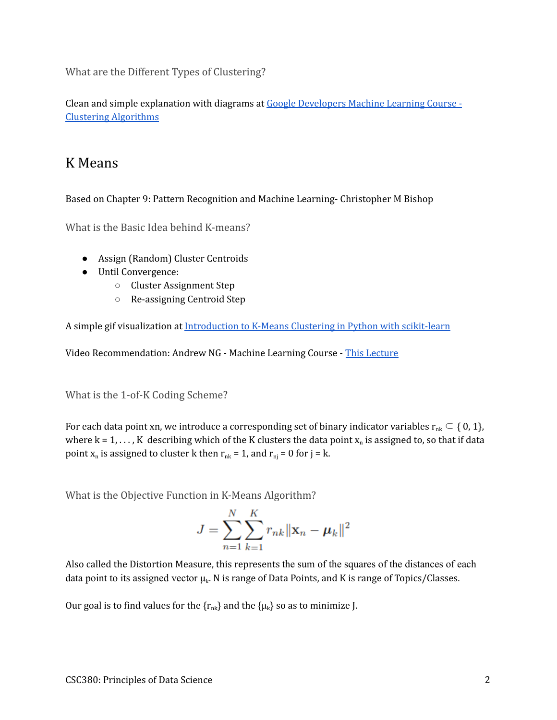What are the Different Types of Clustering?

Clean and simple explanation with diagrams at Google Developers Machine Learning Course - Clustering Algorithms

### K Means

Based on Chapter 9: Pattern Recognition and Machine Learning- Christopher M Bishop

What is the Basic Idea behind K-means?

- Assign (Random) Cluster Centroids
- Until Convergence:
	- Cluster Assignment Step
	- Re-assigning Centroid Step

A simple gif visualization at Introduction to K-Means Clustering in Python with scikit-learn

Video Recommendation: Andrew NG - Machine Learning Course - This Lecture

What is the 1-of-K Coding Scheme?

For each data point xn, we introduce a corresponding set of binary indicator variables  $r_{nk} \in \{0, 1\}$ , where k = 1, . . . , K describing which of the K clusters the data point  $x_n$  is assigned to, so that if data point  $x_n$  is assigned to cluster k then  $r_{nk} = 1$ , and  $r_{nj} = 0$  for j = k.

What is the Objective Function in K-Means Algorithm?

$$
J = \sum_{n=1}^{N} \sum_{k=1}^{K} r_{nk} ||\mathbf{x}_n - \boldsymbol{\mu}_k||^2
$$

Also called the Distortion Measure, this represents the sum of the squares of the distances of each data point to its assigned vector  $\mu_k$ . N is range of Data Points, and K is range of Topics/Classes.

Our goal is to find values for the  $\{r_{nk}\}$  and the  $\{\mu_k\}$  so as to minimize J.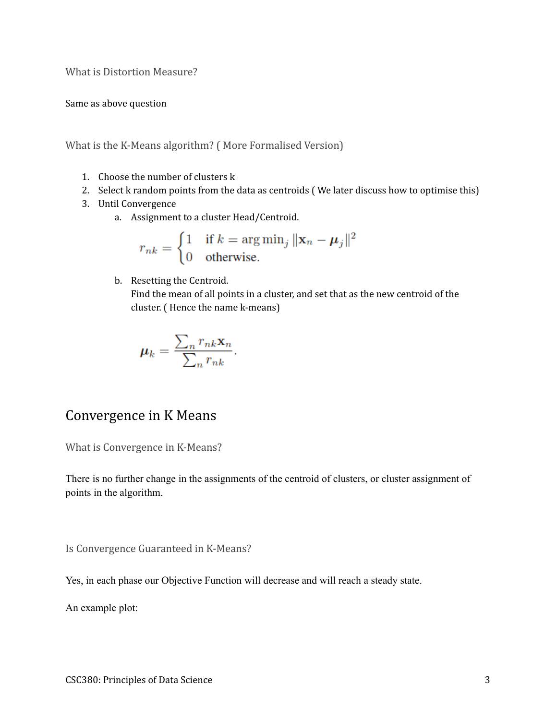What is Distortion Measure?

Same as above question

What is the K-Means algorithm? ( More Formalised Version)

- 1. Choose the number of clusters k
- 2. Select k random points from the data as centroids ( We later discuss how to optimise this)
- 3. Until Convergence
	- a. Assignment to a cluster Head/Centroid.

$$
r_{nk} = \begin{cases} 1 & \text{if } k = \arg \min_j ||\mathbf{x}_n - \boldsymbol{\mu}_j||^2 \\ 0 & \text{otherwise.} \end{cases}
$$

b. Resetting the Centroid.

Find the mean of all points in a cluster, and set that as the new centroid of the cluster. ( Hence the name k-means)

$$
\mu_k = \frac{\sum_n r_{nk} \mathbf{x}_n}{\sum_n r_{nk}}.
$$

### Convergence in K Means

What is Convergence in K-Means?

There is no further change in the assignments of the centroid of clusters, or cluster assignment of points in the algorithm.

Is Convergence Guaranteed in K-Means?

Yes, in each phase our Objective Function will decrease and will reach a steady state.

An example plot: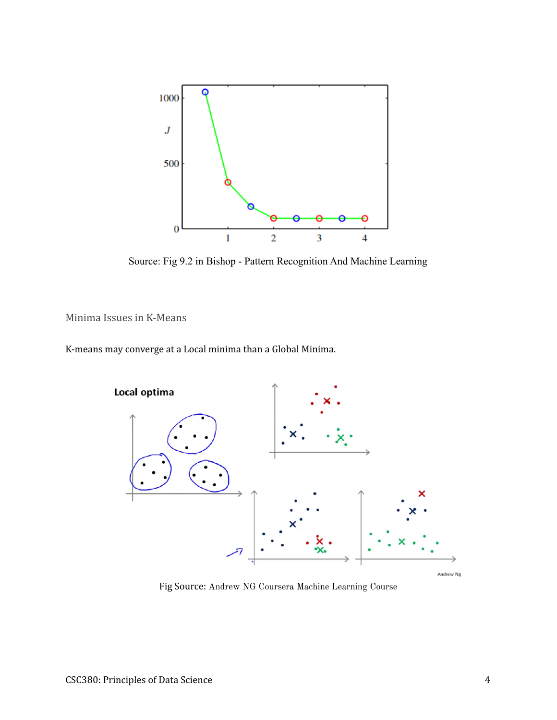

Source: Fig 9.2 in Bishop - Pattern Recognition And Machine Learning

Minima Issues in K-Means

K-means may converge at a Local minima than a Global Minima.



Fig Source: Andrew NG Coursera Machine Learning Course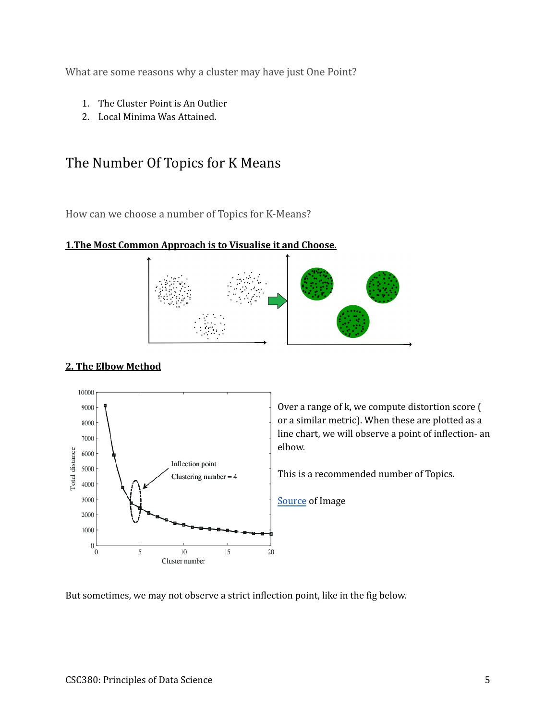What are some reasons why a cluster may have just One Point?

- 1. The Cluster Point is An Outlier
- 2. Local Minima Was Attained.

### The Number Of Topics for K Means

How can we choose a number of Topics for K-Means?

#### **1.The Most Common Approach is to Visualise it and Choose.**



#### **2. The Elbow Method**



Over a range of k, we compute distortion score ( or a similar metric). When these are plotted as a line chart, we will observe a point of inflection- an elbow.

This is a recommended number of Topics.

Source of Image

But sometimes, we may not observe a strict inflection point, like in the fig below.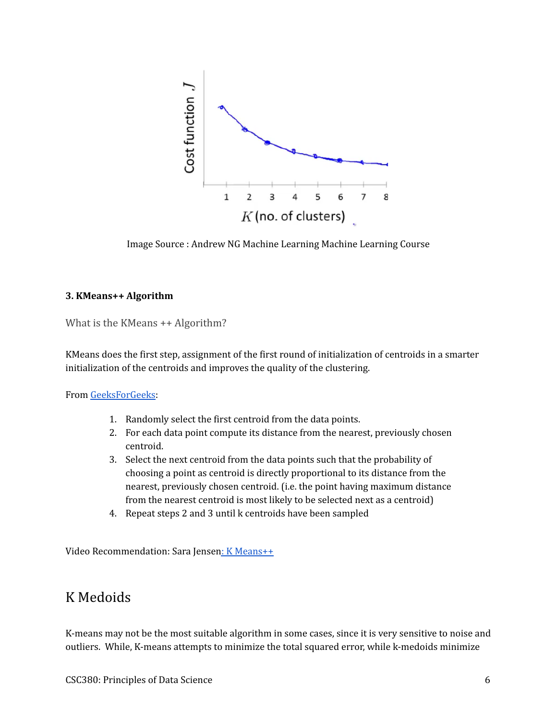

Image Source : Andrew NG Machine Learning Machine Learning Course

#### **3. KMeans++ Algorithm**

What is the KMeans ++ Algorithm?

KMeans does the first step, assignment of the first round of initialization of centroids in a smarter initialization of the centroids and improves the quality of the clustering.

From GeeksForGeeks:

- 1. Randomly select the first centroid from the data points.
- 2. For each data point compute its distance from the nearest, previously chosen centroid.
- 3. Select the next centroid from the data points such that the probability of choosing a point as centroid is directly proportional to its distance from the nearest, previously chosen centroid. (i.e. the point having maximum distance from the nearest centroid is most likely to be selected next as a centroid)
- 4. Repeat steps 2 and 3 until k centroids have been sampled

Video Recommendation: Sara Jensen: K Means++

### K Medoids

K-means may not be the most suitable algorithm in some cases, since it is very sensitive to noise and outliers. While, K-means attempts to minimize the total squared error, while k-medoids minimize